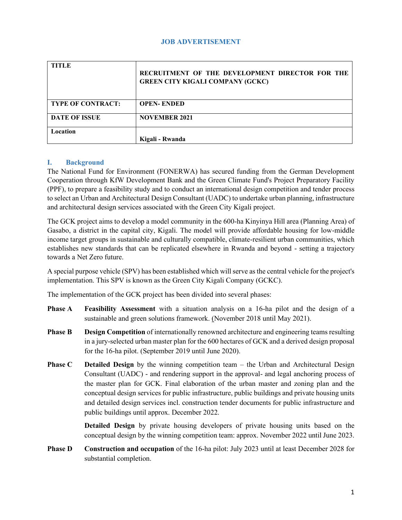#### **JOB ADVERTISEMENT**

| <b>TITLE</b>             | RECRUITMENT OF THE DEVELOPMENT DIRECTOR FOR THE<br><b>GREEN CITY KIGALI COMPANY (GCKC)</b> |
|--------------------------|--------------------------------------------------------------------------------------------|
| <b>TYPE OF CONTRACT:</b> | <b>OPEN-ENDED</b>                                                                          |
| <b>DATE OF ISSUE</b>     | <b>NOVEMBER 2021</b>                                                                       |
| Location                 |                                                                                            |
|                          | Kigali - Rwanda                                                                            |

#### **I. Background**

The National Fund for Environment (FONERWA) has secured funding from the German Development Cooperation through KfW Development Bank and the Green Climate Fund's Project Preparatory Facility (PPF), to prepare a feasibility study and to conduct an international design competition and tender process to select an Urban and Architectural Design Consultant (UADC) to undertake urban planning, infrastructure and architectural design services associated with the Green City Kigali project.

The GCK project aims to develop a model community in the 600-ha Kinyinya Hill area (Planning Area) of Gasabo, a district in the capital city, Kigali. The model will provide affordable housing for low-middle income target groups in sustainable and culturally compatible, climate-resilient urban communities, which establishes new standards that can be replicated elsewhere in Rwanda and beyond - setting a trajectory towards a Net Zero future.

A special purpose vehicle (SPV) has been established which will serve as the central vehicle for the project's implementation. This SPV is known as the Green City Kigali Company (GCKC).

The implementation of the GCK project has been divided into several phases:

- **Phase A Feasibility Assessment** with a situation analysis on a 16-ha pilot and the design of a sustainable and green solutions framework. (November 2018 until May 2021).
- **Phase B Design Competition** of internationally renowned architecture and engineering teams resulting in a jury-selected urban master plan for the 600 hectares of GCK and a derived design proposal for the 16-ha pilot. (September 2019 until June 2020).
- **Phase C Detailed Design** by the winning competition team the Urban and Architectural Design Consultant (UADC) - and rendering support in the approval- and legal anchoring process of the master plan for GCK. Final elaboration of the urban master and zoning plan and the conceptual design services for public infrastructure, public buildings and private housing units and detailed design services incl. construction tender documents for public infrastructure and public buildings until approx. December 2022.

**Detailed Design** by private housing developers of private housing units based on the conceptual design by the winning competition team: approx. November 2022 until June 2023.

**Phase D Construction and occupation** of the 16-ha pilot: July 2023 until at least December 2028 for substantial completion.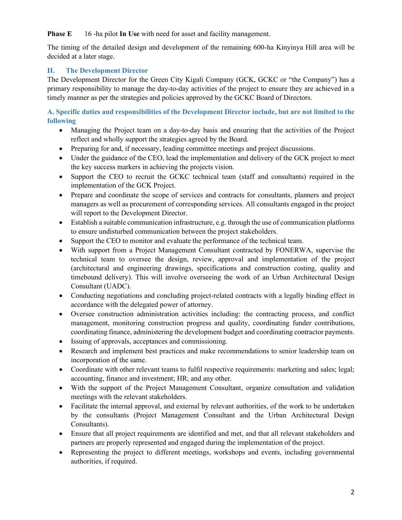**Phase E** 16 -ha pilot **In Use** with need for asset and facility management.

The timing of the detailed design and development of the remaining 600-ha Kinyinya Hill area will be decided at a later stage.

# **II. The Development Director**

The Development Director for the Green City Kigali Company (GCK, GCKC or "the Company") has a primary responsibility to manage the day-to-day activities of the project to ensure they are achieved in a timely manner as per the strategies and policies approved by the GCKC Board of Directors.

**A. Specific duties and responsibilities of the Development Director include, but are not limited to the following**

- Managing the Project team on a day-to-day basis and ensuring that the activities of the Project reflect and wholly support the strategies agreed by the Board.
- Preparing for and, if necessary, leading committee meetings and project discussions.
- Under the guidance of the CEO, lead the implementation and delivery of the GCK project to meet the key success markers in achieving the projects vision.
- Support the CEO to recruit the GCKC technical team (staff and consultants) required in the implementation of the GCK Project.
- Prepare and coordinate the scope of services and contracts for consultants, planners and project managers as well as procurement of corresponding services. All consultants engaged in the project will report to the Development Director.
- Establish a suitable communication infrastructure, e.g. through the use of communication platforms to ensure undisturbed communication between the project stakeholders.
- Support the CEO to monitor and evaluate the performance of the technical team.
- With support from a Project Management Consultant contracted by FONERWA, supervise the technical team to oversee the design, review, approval and implementation of the project (architectural and engineering drawings, specifications and construction costing, quality and timebound delivery). This will involve overseeing the work of an Urban Architectural Design Consultant (UADC).
- Conducting negotiations and concluding project-related contracts with a legally binding effect in accordance with the delegated power of attorney.
- Oversee construction administration activities including: the contracting process, and conflict management, monitoring construction progress and quality, coordinating funder contributions, coordinating finance, administering the development budget and coordinating contractor payments.
- Issuing of approvals, acceptances and commissioning.
- Research and implement best practices and make recommendations to senior leadership team on incorporation of the same.
- Coordinate with other relevant teams to fulfil respective requirements: marketing and sales; legal; accounting, finance and investment; HR; and any other.
- With the support of the Project Management Consultant, organize consultation and validation meetings with the relevant stakeholders.
- Facilitate the internal approval, and external by relevant authorities, of the work to be undertaken by the consultants (Project Management Consultant and the Urban Architectural Design Consultants).
- Ensure that all project requirements are identified and met, and that all relevant stakeholders and partners are properly represented and engaged during the implementation of the project.
- Representing the project to different meetings, workshops and events, including governmental authorities, if required.